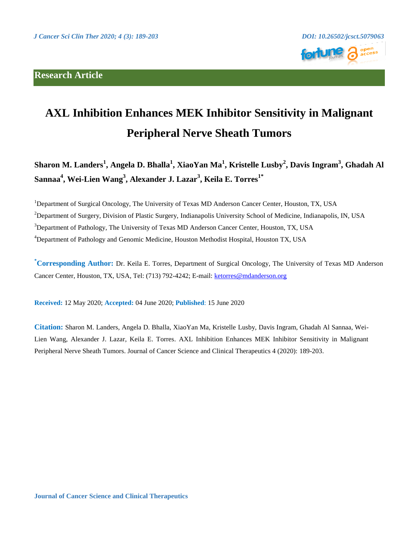## **Research Article**





## **AXL Inhibition Enhances MEK Inhibitor Sensitivity in Malignant Peripheral Nerve Sheath Tumors**

**Sharon M. Landers<sup>1</sup> , Angela D. Bhalla<sup>1</sup> , XiaoYan Ma<sup>1</sup> , Kristelle Lusby<sup>2</sup> , Davis Ingram<sup>3</sup> , Ghadah Al Sannaa<sup>4</sup> , Wei-Lien Wang<sup>3</sup> , Alexander J. Lazar<sup>3</sup> , Keila E. Torres1\***

<sup>1</sup>Department of Surgical Oncology, The University of Texas MD Anderson Cancer Center, Houston, TX, USA <sup>2</sup>Department of Surgery, Division of Plastic Surgery, Indianapolis University School of Medicine, Indianapolis, IN, USA <sup>3</sup>Department of Pathology, The University of Texas MD Anderson Cancer Center, Houston, TX, USA <sup>4</sup>Department of Pathology and Genomic Medicine, Houston Methodist Hospital, Houston TX, USA

**\*Corresponding Author:** Dr. Keila E. Torres, Department of Surgical Oncology, The University of Texas MD Anderson Cancer Center, Houston, TX, USA, Tel: (713) 792-4242; E-mail: [ketorres@mdanderson.org](mailto:ketorres@mdanderson.org)

**Received:** 12 May 2020; **Accepted:** 04 June 2020; **Published**: 15 June 2020

**Citation:** Sharon M. Landers, Angela D. Bhalla, XiaoYan Ma, Kristelle Lusby, Davis Ingram, Ghadah Al Sannaa, Wei-Lien Wang, Alexander J. Lazar, Keila E. Torres. AXL Inhibition Enhances MEK Inhibitor Sensitivity in Malignant Peripheral Nerve Sheath Tumors. Journal of Cancer Science and Clinical Therapeutics 4 (2020): 189-203.